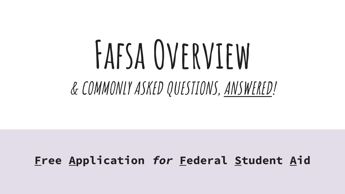# **Fafsa Overview & COMMONLY ASKED QUESTIONS, ANSWERED!**

### **Free Application for Federal Student Aid**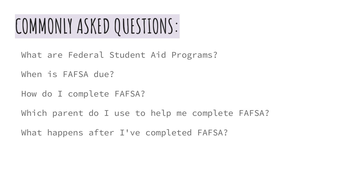## **COMMONLY ASKED QUESTIONS:**

- What are Federal Student Aid Programs?
- When is FAFSA due?
- How do I complete FAFSA?
- Which parent do I use to help me complete FAFSA?
- What happens after I've completed FAFSA?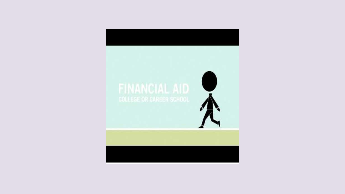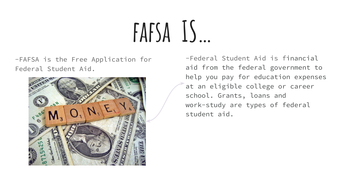# $FAFSA$   $15...$

-FAFSA is the Free Application for Federal Student Aid.



-Federal Student Aid is financial aid from the federal government to help you pay for education expenses at an eligible college or career school. Grants, loans and work-study are types of federal student aid.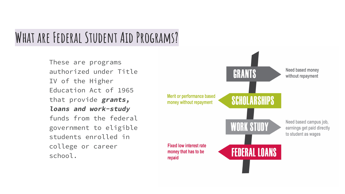### **What are Federal Student Aid Programs?**

These are programs authorized under Title IV of the Higher Education Act of 1965 that provide **grants, loans and work-study** funds from the federal government to eligible students enrolled in college or career school.

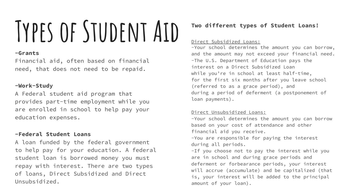# **Types of Student Aid**

#### **-Grants**

Financial aid, often based on financial need, that does not need to be repaid.

#### **-Work-Study**

A Federal student aid program that provides part-time employment while you are enrolled in school to help pay your education expenses.

#### **-Federal Student Loans**

A loan funded by the federal government to help pay for your education. A federal student loan is borrowed money you must repay with interest. There are two types of loans, Direct Subsidized and Direct Unsubsidized.

#### **Two different types of Student Loans!**

#### Direct Subsidized Loans:

-Your school determines the amount you can borrow, and the amount may not exceed your financial need. -The U.S. Department of Education pays the interest on a Direct Subsidized Loan while you're in school at least half-time, for the first six months after you leave school (referred to as a grace period), and during a period of deferment (a postponement of loan payments).

#### Direct Unsubsidized Loans:

-Your school determines the amount you can borrow based on your cost of attendance and other financial aid you receive. -You are responsible for paying the interest during all periods. -If you choose not to pay the interest while you are in school and during grace periods and deferment or forbearance periods, your interest will accrue (accumulate) and be capitalized (that is, your interest will be added to the principal amount of your loan).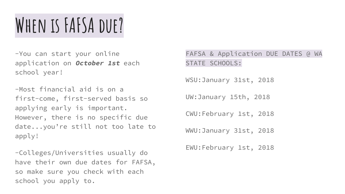## **When is FAFSA due?**

-You can start your online application on **October 1st** each school year!

-Most financial aid is on a first-come, first-served basis so applying early is important. However, there is no specific due date...you're still not too late to apply!

-Colleges/Universities usually do have their own due dates for FAFSA, so make sure you check with each school you apply to.

FAFSA & Application DUE DATES @ WA STATE SCHOOLS:

WSU:January 31st, 2018

UW:January 15th, 2018

CWU:February 1st, 2018

WWU:January 31st, 2018

EWU:February 1st, 2018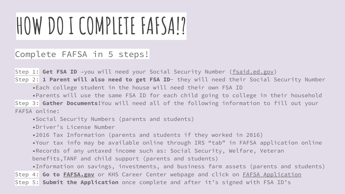# **HOW DO I COMPLETE FAFSA!?**

#### Complete FAFSA in 5 steps!

Step 1: Get FSA ID -you will need your Social Security Number (fsaid.ed.gov)

Step 2: **1 Parent will also need to get FSA ID**- they will need their Social Security Number •Each college student in the house will need their own FSA ID

•Parents will use the same FSA ID for each child going to college in their household Step 3: **Gather Documents!**You will need all of the following information to fill out your FAFSA online:

•Social Security Numbers (parents and students)

•Driver's License Number

•2016 Tax Information (parents and students if they worked in 2016)

•Your tax info may be available online through IRS "tab" in FAFSA application online •Records of any untaxed income such as: Social Security, Welfare, Veteran benefits,TANF and child support (parents and students)

•Information on savings, investments, and business farm assets (parents and students) Step 4: **Go to FAFSA.gov** or KHS Career Center webpage and click on FAFSA Application Step 5: **Submit the Application** once complete and after it's signed with FSA ID's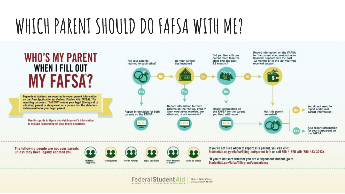## WHICH PARENT SHOULD DO FAFSA WITH ME?



Dependent students are required to report parent information on the Free Application for Federal Student Aid (FAFSA). For reporting purposes, "PARENT" means your legal (biological or adoptive) parent or stepparent, or a person that the state has determined to be your legal parent.

Use this guide to figure out which parent's information to include (depending on your family situation).

for the parent who provided more Did you live with one parent more than the financial support over the past 12 months or in the last year you Do your parents<br>live together? other over the past Are your parents 12 months? married to each other? received support. Report information for both You do not need to parents on the FAFSA, even if Report information on report additional they were never married, are the FAFSA for the parent Report information for both Has this parent parent information. parents on the FAFSA. divorced, or are separated. you lived with more. remarried? Also report information for your stepparent on the FAFSA

The following people are not your parents unless they have legally adopted you:







**Federal Student Aid** 

An OFFICE of the U.S. DEPARTMENT of EQUCATION



If you're not sure whom to report as a parent, you can visit StudentAid.ed.gov/fafsa/filling-out/parent-info or call 800-4-FED-AID (800-433-3243).

Report information on the FAFSA

'If you're not sure whether you are a dependent student, go to StudentAid.gov/fafsa/filling-out/dependency



Grandparents **Foster Parents** 



PROUD SPONSOR of the AMERICAN MIND®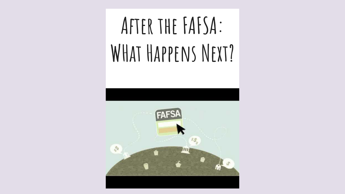# **After the FAFSA: WHat Happens Next?**



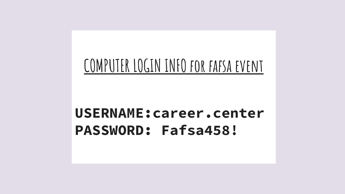### COMPUTER LOGIN INFO FOR FAFSA EVENT

### **USERNAME:career.center** PASSWORD: Fafsa458!